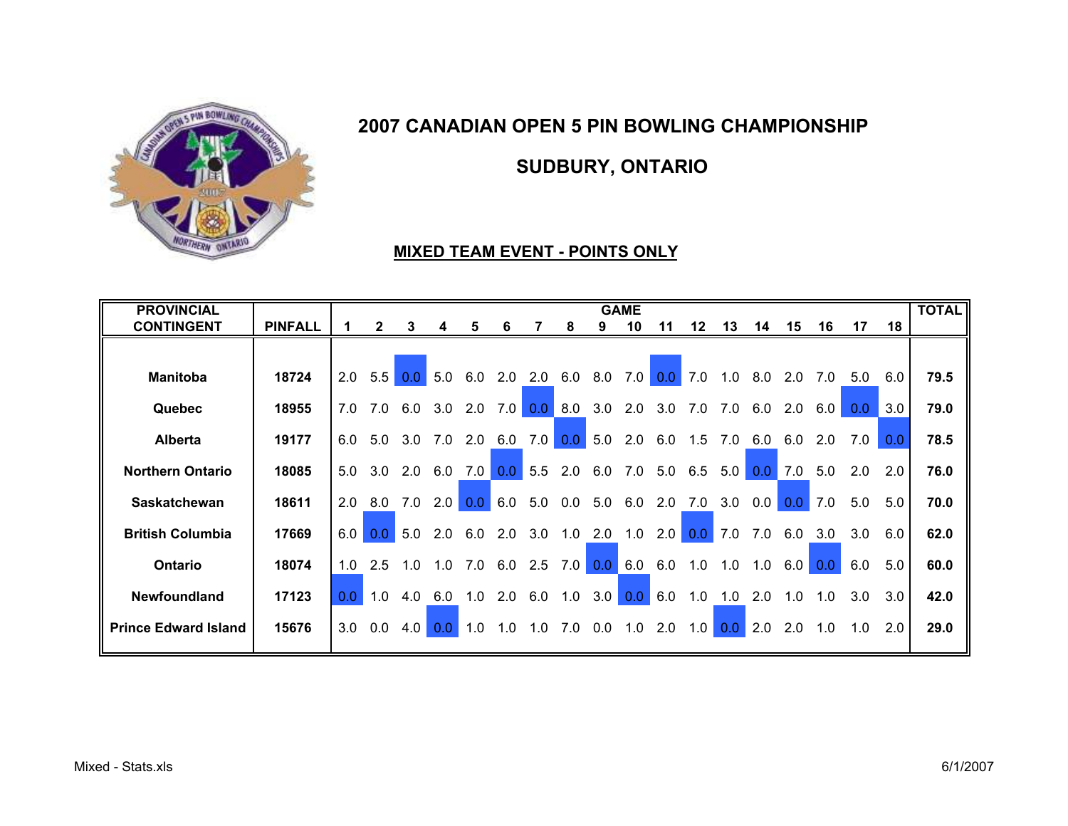

SUDBURY, ONTARIO

# MIXED TEAM EVENT - POINTS ONLY

| <b>PROVINCIAL</b>           |                |                  |     |                       |                  |             |                  |                   |               |           | <b>GAME</b> |                 |                   |               |           |     |         |                  |     | <b>TOTAL</b> |
|-----------------------------|----------------|------------------|-----|-----------------------|------------------|-------------|------------------|-------------------|---------------|-----------|-------------|-----------------|-------------------|---------------|-----------|-----|---------|------------------|-----|--------------|
| <b>CONTINGENT</b>           | <b>PINFALL</b> |                  |     | 3                     | 4                | 5           | 6                |                   | 8             | 9         | 10          | 11              | $12 \,$           | 13            | 14        | 15  | 16      | 17               | 18  |              |
|                             |                |                  |     |                       |                  |             |                  |                   |               |           |             |                 |                   |               |           |     |         |                  |     |              |
| <b>Manitoba</b>             | 18724          | 2.0              | 5.5 | 0.0 <sub>1</sub>      | 5.0              | 6.0         | 2.0              | 2.0               | 6.0           | 8.0       | 7.0         | 0.0             | 7.0               | 1.0           | 8.0       | 2.0 | 7.0     | 5.0              | 6.0 | 79.5         |
| <b>Quebec</b>               | 18955          | 7.0              |     | 7.0 6.0 3.0 2.0       |                  |             | 7.0              |                   | 0.0 8.0       | 3.0       |             | 2.0 3.0 7.0     |                   | 7.0           | 6.0       |     | 2.0 6.0 | 0.0 <sub>1</sub> | 3.0 | 79.0         |
| <b>Alberta</b>              | 19177          | 6.0              | 5.0 | 3.0                   |                  | 7.0 2.0 6.0 |                  | 7.0               | 0.0           | 5.0       |             | 2.0 6.0 1.5 7.0 |                   |               | 6.0       | 6.0 | 2.0     | 7.0              | 0.0 | 78.5         |
| <b>Northern Ontario</b>     | 18085          | 5.0              | 3.0 | 2.0                   | 6.0              | 7.0         | 0.0 <sub>1</sub> | 5.5               | 2.0           | 6.0       | 7.0         |                 | $5.0 \t6.5 \t5.0$ |               | 0.0       | 7.0 | 5.0     | 2.0              | 2.0 | 76.0         |
| <b>Saskatchewan</b>         | 18611          | 2.0              | 8.0 | 7.0                   | 2.0              | 0.0         | 6.0              | 5.0               | $0.0$ 5.0 6.0 |           |             | 2.0             |                   | $7.0$ 3.0 0.0 |           | 0.0 | 7.0     | 5.0              | 5.0 | 70.0         |
| <b>British Columbia</b>     | 17669          | 6.0              |     | $0.0$ 5.0 2.0 6.0 2.0 |                  |             |                  | 3.0               |               | $1.0$ 2.0 | 1.0         | 2.0             |                   | $0.0$ 7.0     | 7.0       | 6.0 | 3.0     | 3.0              | 6.0 | 62.0         |
| Ontario                     | 18074          | 1.0              | 2.5 | 1.0                   | 1.0              |             |                  | $7.0$ 6.0 2.5 7.0 |               | 0.0       | 6.0         | 6.0             | 1.0               | 1.0           | 1.0       | 6.0 | 0.0     | 6.0              | 5.0 | 60.0         |
| Newfoundland                | 17123          | 0.0 <sub>1</sub> | 1.0 | 4.0                   | 6.0              | 1.0         | 2.0              | 6.0               | 1.0           | 3.0       | 0.0         | 6.0             | 1.0               | 1.0           | 2.0       | 1.0 | 1.0     | 3.0              | 3.0 | 42.0         |
| <b>Prince Edward Island</b> | 15676          | 3.0              | 0.0 | 4.0                   | 0.0 <sub>1</sub> | 1.0         |                  | $1.0$ $1.0$       | 7.0 0.0       |           | 1.0         |                 | $2.0$ 1.0         |               | $0.0$ 2.0 | 2.0 | 1.0     | 1.0              | 2.0 | 29.0         |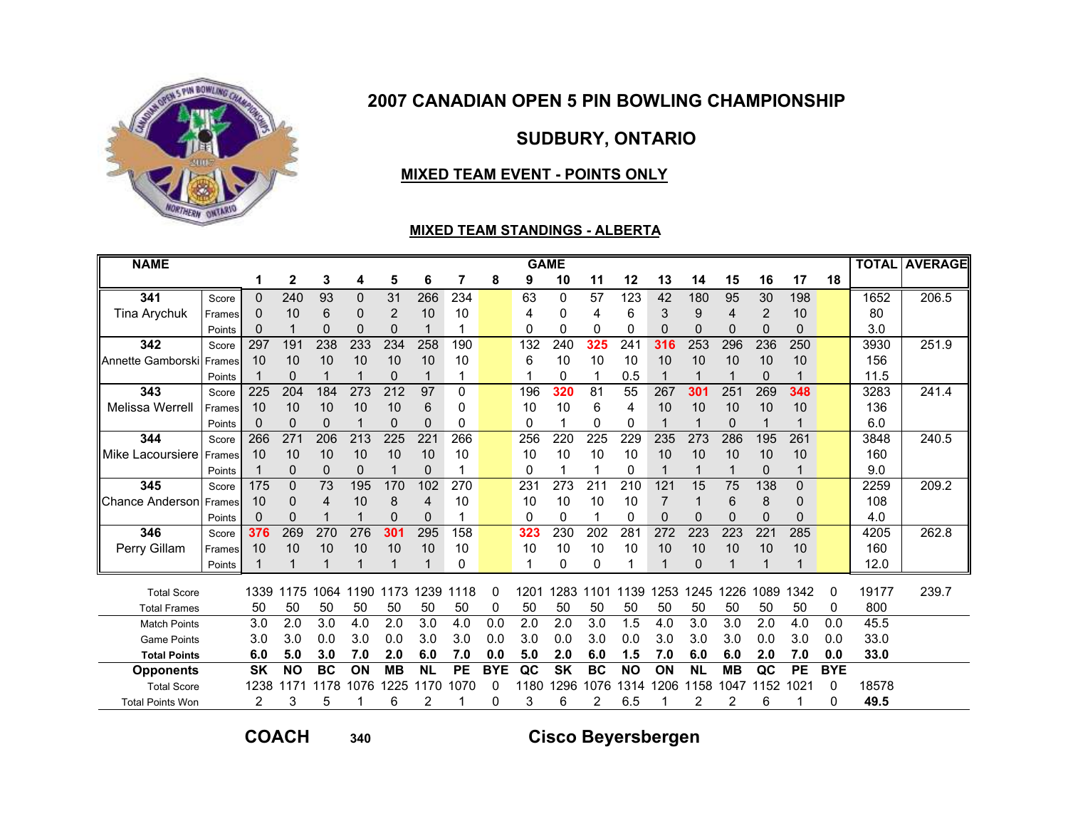

SUDBURY, ONTARIO

### MIXED TEAM EVENT - POINTS ONLY

#### MIXED TEAM STANDINGS - ALBERTA

| <b>NAME</b>             |        |           |           |             |          |           |                |           |            |      | <b>GAME</b>              |           |           |      |           |           |             |           |            |       | <b>TOTAL AVERAGE</b> |
|-------------------------|--------|-----------|-----------|-------------|----------|-----------|----------------|-----------|------------|------|--------------------------|-----------|-----------|------|-----------|-----------|-------------|-----------|------------|-------|----------------------|
|                         |        |           | 2         | 3           | 4        | 5         | 6              | 7         | 8          | 9    | 10                       | 11        | 12        | 13   | 14        | 15        | 16          | 17        | 18         |       |                      |
| 341                     | Score  | 0         | 240       | 93          | $\Omega$ | 31        | 266            | 234       |            | 63   | 0                        | 57        | 123       | 42   | 180       | 95        | 30          | 198       |            | 1652  | 206.5                |
| Tina Arychuk            | Frames | 0         | 10        | 6           | 0        | 2         | 10             | 10        |            | 4    | 0                        | 4         | 6         | 3    | 9         | 4         | 2           | 10        |            | 80    |                      |
|                         | Points | 0         |           | $\Omega$    | 0        | 0         |                |           |            | 0    | 0                        | 0         | 0         | 0    | 0         | 0         | $\Omega$    | 0         |            | 3.0   |                      |
| 342                     | Score  | 297       | 191       | 238         | 233      | 234       | 258            | 190       |            | 132  | 240                      | 325       | 241       | 316  | 253       | 296       | 236         | 250       |            | 3930  | 251.9                |
| Annette Gamborski       | Frames | 10        | 10        | 10          | 10       | 10        | 10             | 10        |            | 6    | 10                       | 10        | 10        | 10   | 10        | 10        | 10          | 10        |            | 156   |                      |
|                         | Points |           | $\Omega$  |             | 1        | $\Omega$  | 1              | 1         |            |      | 0                        |           | 0.5       | 1    |           | 1         | $\Omega$    | 1         |            | 11.5  |                      |
| 343                     | Score  | 225       | 204       | 184         | 273      | 212       | 97             | 0         |            | 196  | 320                      | 81        | 55        | 267  | 301       | 251       | 269         | 348       |            | 3283  | 241.4                |
| <b>Melissa Werrell</b>  | Frames | 10        | 10        | 10          | 10       | 10        | 6              | 0         |            | 10   | 10                       | 6         | 4         | 10   | 10        | 10        | 10          | 10        |            | 136   |                      |
|                         | Points | 0         | 0         | $\mathbf 0$ |          | 0         | $\Omega$       | 0         |            | 0    |                          | 0         | 0         |      |           | 0         |             |           |            | 6.0   |                      |
| 344                     | Score  | 266       | 271       | 206         | 213      | 225       | 221            | 266       |            | 256  | 220                      | 225       | 229       | 235  | 273       | 286       | 195         | 261       |            | 3848  | 240.5                |
| Mike Lacoursiere        | Frames | 10        | 10        | 10          | 10       | 10        | 10             | 10        |            | 10   | 10                       | 10        | 10        | 10   | 10        | 10        | 10          | 10        |            | 160   |                      |
|                         | Points |           | 0         | 0           | 0        | 1         | $\mathbf 0$    | 1         |            | 0    |                          |           | 0         | 1    |           | 1         | $\mathbf 0$ | 1         |            | 9.0   |                      |
| 345                     | Score  | 175       | 0         | 73          | 195      | 170       | 102            | 270       |            | 231  | 273                      | 211       | 210       | 121  | 15        | 75        | 138         | 0         |            | 2259  | 209.2                |
| Chance Anderson         | Frames | 10        | 0         | 4           | 10       | 8         | $\overline{4}$ | 10        |            | 10   | 10                       | 10        | 10        | 7    |           | 6         | 8           | 0         |            | 108   |                      |
|                         | Points | 0         | 0         |             |          | 0         | 0              |           |            | 0    | 0                        |           | 0         | 0    | 0         | 0         | 0           | 0         |            | 4.0   |                      |
| 346                     | Score  | 376       | 269       | 270         | 276      | 301       | 295            | 158       |            | 323  | 230                      | 202       | 281       | 272  | 223       | 223       | 22'         | 285       |            | 4205  | 262.8                |
| Perry Gillam            | Frames | 10        | 10        | 10          | 10       | 10        | 10             | 10        |            | 10   | 10                       | 10        | 10        | 10   | 10        | 10        | 10          | 10        |            | 160   |                      |
|                         | Points |           |           |             | 1        |           | 1              | $\Omega$  |            |      | 0                        | 0         |           | 1    | 0         |           |             | 1         |            | 12.0  |                      |
| <b>Total Score</b>      |        | 1339      | 1175      | 1064        | 1190     | 1173      | 239            | 1118      | 0          | 1201 | 1283                     | 1101      | 1139      | 1253 | 1245      | 1226      | 1089        | 1342      | 0          | 19177 | 239.7                |
| <b>Total Frames</b>     |        | 50        | 50        | 50          | 50       | 50        | 50             | 50        | 0          | 50   | 50                       | 50        | 50        | 50   | 50        | 50        | 50          | 50        | 0          | 800   |                      |
| <b>Match Points</b>     |        | 3.0       | 2.0       | 3.0         | 4.0      | 2.0       | 3.0            | 4.0       | 0.0        | 2.0  | 2.0                      | 3.0       | 1.5       | 4.0  | 3.0       | 3.0       | 2.0         | 4.0       | 0.0        | 45.5  |                      |
| <b>Game Points</b>      |        | 3.0       | 3.0       | 0.0         | 3.0      | 0.0       | 3.0            | 3.0       | 0.0        | 3.0  | 0.0                      | 3.0       | 0.0       | 3.0  | 3.0       | 3.0       | 0.0         | 3.0       | 0.0        | 33.0  |                      |
| <b>Total Points</b>     |        | 6.0       | 5.0       | 3.0         | 7.0      | 2.0       | 6.0            | 7.0       | 0.0        | 5.0  | 2.0                      | 6.0       | 1.5       | 7.0  | 6.0       | 6.0       | 2.0         | 7.0       | 0.0        | 33.0  |                      |
| <b>Opponents</b>        |        | <b>SK</b> | <b>NO</b> | <b>BC</b>   | ON       | <b>MB</b> | <b>NL</b>      | <b>PE</b> | <b>BYE</b> | QC   | $\overline{\mathsf{SK}}$ | <b>BC</b> | <b>NO</b> | ON   | <b>NL</b> | <b>MB</b> | QC          | <b>PE</b> | <b>BYE</b> |       |                      |
| <b>Total Score</b>      |        | 1238      | 1171      | 1178        | 1076     | 1225      | 170            | 1070      | 0          | 1180 | 296                      | 1076      | 1314      | 1206 | 1158      | 1047      | 1152        | 1021      | 0          | 18578 |                      |
| <b>Total Points Won</b> |        | 2         | 3         | 5           |          | 6         | 2              |           | 0          | 3    | 6                        | 2         | 6.5       |      | 2         | 2         | 6           |           | 0          | 49.5  |                      |

COACH

<sup>340</sup> Cisco Beyersbergen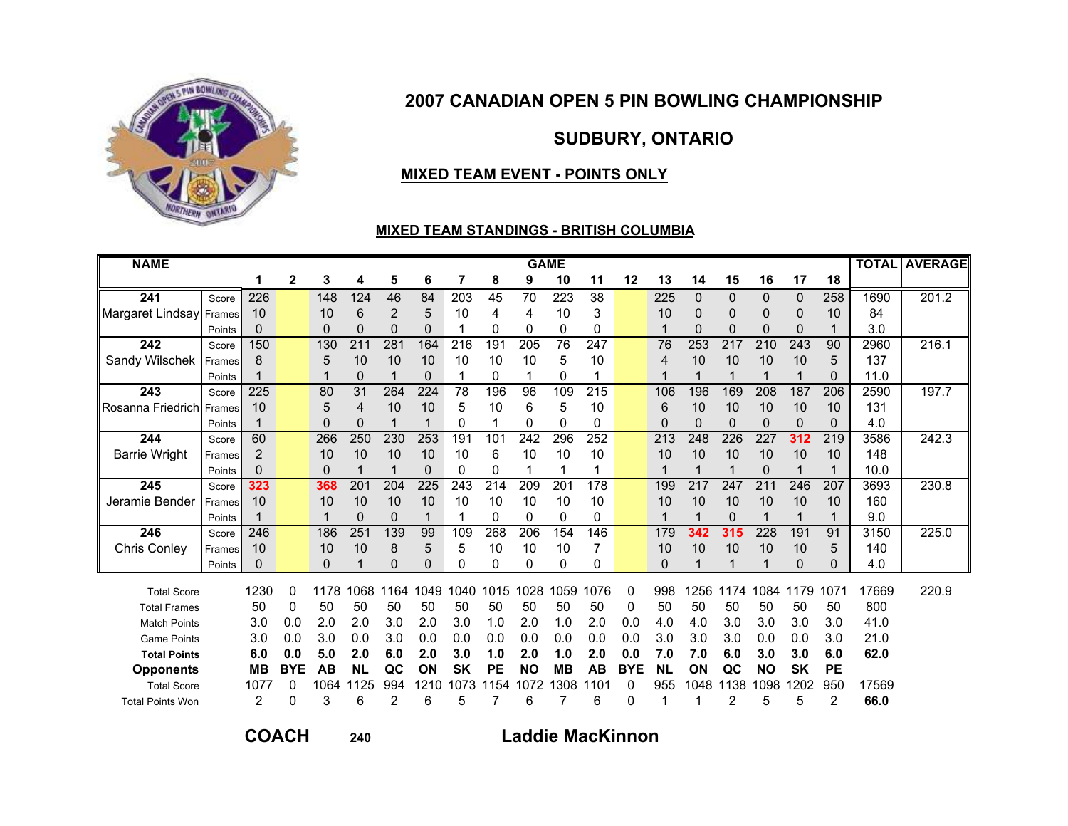

SUDBURY, ONTARIO

### MIXED TEAM EVENT - POINTS ONLY

#### MIXED TEAM STANDINGS - BRITISH COLUMBIA

| $\overline{2}$<br>3<br>5<br>7<br>12<br>16<br>17<br>8<br>9<br>11<br>13<br>14<br>15<br>18<br>4<br>6<br>10<br>241<br>226<br>70<br>223<br>38<br>148<br>124<br>46<br>84<br>203<br>45<br>225<br>0<br>258<br>1690<br>0<br>$\mathbf 0$<br>0<br>Score<br>6<br>3<br>84<br>Margaret Lindsay<br>10<br>2<br>5<br>10<br>10<br>10<br>10<br>10<br>0<br>0<br>0<br>4<br>0<br>4<br>Frames<br>$\Omega$<br>0<br>$\Omega$<br>$\Omega$<br>$\mathbf{0}$<br>$\mathbf 0$<br>$\Omega$<br>0<br>3.0<br>0<br>0<br>0<br>1<br>$\Omega$<br>$\Omega$<br>Points<br>242<br>150<br>211<br>281<br>164<br>191<br>205<br>76<br>247<br>253<br>217<br>243<br>90<br>130<br>216<br>76<br>210<br>2960<br>Score<br>Sandy Wilschek<br>5<br>10<br>10<br>10<br>10<br>137<br>10<br>10<br>10<br>10<br>5<br>10<br>10<br>10<br>5<br>8<br>4<br>Frames<br>0<br>0<br>0<br>11.0<br>0<br>1<br>0<br>Points | 201.2<br>216.1<br>197.7 |
|-------------------------------------------------------------------------------------------------------------------------------------------------------------------------------------------------------------------------------------------------------------------------------------------------------------------------------------------------------------------------------------------------------------------------------------------------------------------------------------------------------------------------------------------------------------------------------------------------------------------------------------------------------------------------------------------------------------------------------------------------------------------------------------------------------------------------------------------------|-------------------------|
|                                                                                                                                                                                                                                                                                                                                                                                                                                                                                                                                                                                                                                                                                                                                                                                                                                                 |                         |
|                                                                                                                                                                                                                                                                                                                                                                                                                                                                                                                                                                                                                                                                                                                                                                                                                                                 |                         |
|                                                                                                                                                                                                                                                                                                                                                                                                                                                                                                                                                                                                                                                                                                                                                                                                                                                 |                         |
|                                                                                                                                                                                                                                                                                                                                                                                                                                                                                                                                                                                                                                                                                                                                                                                                                                                 |                         |
|                                                                                                                                                                                                                                                                                                                                                                                                                                                                                                                                                                                                                                                                                                                                                                                                                                                 |                         |
|                                                                                                                                                                                                                                                                                                                                                                                                                                                                                                                                                                                                                                                                                                                                                                                                                                                 |                         |
|                                                                                                                                                                                                                                                                                                                                                                                                                                                                                                                                                                                                                                                                                                                                                                                                                                                 |                         |
| 243<br>$\overline{31}$<br>$\overline{225}$<br>264<br>224<br>109<br>$\overline{215}$<br>196<br>169<br>187<br>206<br>80<br>78<br>196<br>96<br>106<br>208<br>2590<br>Score                                                                                                                                                                                                                                                                                                                                                                                                                                                                                                                                                                                                                                                                         |                         |
| 5<br>10<br>10<br>5<br>10<br>131<br><b>I</b> Rosanna Friedrich Frames<br>6<br>10<br>6<br>10<br>10<br>10<br>10<br>4<br>10<br>5<br>10                                                                                                                                                                                                                                                                                                                                                                                                                                                                                                                                                                                                                                                                                                              |                         |
| 0<br>0<br>$\Omega$<br>$\mathbf{0}$<br>0<br>0<br>$\Omega$<br>0<br>4.0<br>0<br>0<br>0<br>0<br>Points                                                                                                                                                                                                                                                                                                                                                                                                                                                                                                                                                                                                                                                                                                                                              |                         |
| 244<br>60<br>266<br>250<br>230<br>253<br>191<br>101<br>242<br>296<br>252<br>213<br>248<br>226<br>227<br>312<br>219<br>3586<br>Score                                                                                                                                                                                                                                                                                                                                                                                                                                                                                                                                                                                                                                                                                                             | 242.3                   |
| 10<br>10<br>10<br>10<br>6<br>10<br>10<br>10<br>148<br><b>Barrie Wright</b><br>2<br>10<br>10<br>10<br>10<br>10<br>10<br>10<br>Frames                                                                                                                                                                                                                                                                                                                                                                                                                                                                                                                                                                                                                                                                                                             |                         |
| 0<br>10.0<br>$\Omega$<br>$\Omega$<br>0<br>$\Omega$<br>0<br>Points                                                                                                                                                                                                                                                                                                                                                                                                                                                                                                                                                                                                                                                                                                                                                                               |                         |
| 245<br>225<br>323<br>201<br>204<br>243<br>214<br>209<br>201<br>178<br>199<br>217<br>247<br>211<br>246<br>207<br>3693<br>368<br>Score                                                                                                                                                                                                                                                                                                                                                                                                                                                                                                                                                                                                                                                                                                            | 230.8                   |
| Jeramie Bender<br>10<br>10<br>10<br>10<br>10<br>10<br>160<br>10<br>10<br>10<br>10<br>10<br>10<br>10<br>10<br>10<br>10<br>Frames                                                                                                                                                                                                                                                                                                                                                                                                                                                                                                                                                                                                                                                                                                                 |                         |
| 9.0<br>0<br>0<br>0<br>0<br>0<br>0<br>0<br>Points                                                                                                                                                                                                                                                                                                                                                                                                                                                                                                                                                                                                                                                                                                                                                                                                |                         |
| 251<br>246<br>246<br>186<br>139<br>268<br>206<br>154<br>146<br>179<br>342<br>315<br>228<br>191<br>91<br>99<br>109<br>3150<br>Score                                                                                                                                                                                                                                                                                                                                                                                                                                                                                                                                                                                                                                                                                                              | 225.0                   |
| 5<br>5<br>10<br>10<br>10<br>8<br>10<br>10<br>10<br>10<br>10<br>140<br>Chris Conley<br>10<br>10<br>5<br>10<br>Frames                                                                                                                                                                                                                                                                                                                                                                                                                                                                                                                                                                                                                                                                                                                             |                         |
| 0<br>$\Omega$<br>4.0<br>$\Omega$<br>0<br>0<br>0<br>0<br>0<br>0<br>0<br>0<br>0<br>Points                                                                                                                                                                                                                                                                                                                                                                                                                                                                                                                                                                                                                                                                                                                                                         |                         |
| 1230<br>1076<br>998<br>1084<br>17669<br>1068<br>1164<br>1049<br>1040<br>1015<br>$\Omega$<br>1256<br>1174<br>1179<br>1071<br><b>Total Score</b><br>$\Omega$<br>1178<br>1028<br>1059                                                                                                                                                                                                                                                                                                                                                                                                                                                                                                                                                                                                                                                              | 220.9                   |
| 800<br>50<br>50<br>50<br>50<br>50<br>50<br>50<br>50<br>50<br>50<br>50<br>50<br>50<br>50<br>50<br>50<br>0<br>0<br><b>Total Frames</b>                                                                                                                                                                                                                                                                                                                                                                                                                                                                                                                                                                                                                                                                                                            |                         |
| 3.0<br>2.0<br>41.0<br>0.0<br>2.0<br>3.0<br>3.0<br>2.0<br>2.0<br>0.0<br>4.0<br>3.0<br>3.0<br>3.0<br>3.0<br>2.0<br>1.0<br>1.0<br>4.0<br><b>Match Points</b>                                                                                                                                                                                                                                                                                                                                                                                                                                                                                                                                                                                                                                                                                       |                         |
| 3.0<br>3.0<br>0.0<br>3.0<br>0.0<br>0.0<br>0.0<br>3.0<br>3.0<br>3.0<br>21.0<br>0.0<br>0.0<br>0.0<br>0.0<br>0.0<br>0.0<br>0.0<br>3.0<br><b>Game Points</b>                                                                                                                                                                                                                                                                                                                                                                                                                                                                                                                                                                                                                                                                                        |                         |
| 5.0<br>7.0<br>62.0<br>6.0<br>0.0<br>2.0<br>6.0<br>2.0<br>3.0<br>1.0<br>2.0<br>2.0<br>0.0<br>7.0<br>6.0<br>3.0<br>3.0<br>6.0<br>1.0<br><b>Total Points</b>                                                                                                                                                                                                                                                                                                                                                                                                                                                                                                                                                                                                                                                                                       |                         |
| <b>MB</b><br><b>BYE</b><br><b>AB</b><br><b>NL</b><br>QC<br>ON<br><b>SK</b><br><b>PE</b><br><b>MB</b><br><b>AB</b><br><b>BYE</b><br><b>NL</b><br>ON<br>QC<br><b>SK</b><br><b>PE</b><br><b>NO</b><br><b>NO</b><br><b>Opponents</b>                                                                                                                                                                                                                                                                                                                                                                                                                                                                                                                                                                                                                |                         |
| 1077<br>1064<br>1125<br>994<br>1210<br>1308<br>1138<br>1098<br>1202<br>17569<br>1073<br>1154<br>1072<br>955<br>1048<br>950<br><b>Total Score</b><br>0<br>0<br>1101                                                                                                                                                                                                                                                                                                                                                                                                                                                                                                                                                                                                                                                                              |                         |
| 5<br>5<br>2<br>66.0<br>2<br>0<br>3<br>6<br>2<br>6<br>6<br>6<br>2<br>5<br>0<br><b>Total Points Won</b>                                                                                                                                                                                                                                                                                                                                                                                                                                                                                                                                                                                                                                                                                                                                           |                         |

COACH

<sup>240</sup>

Laddie MacKinnon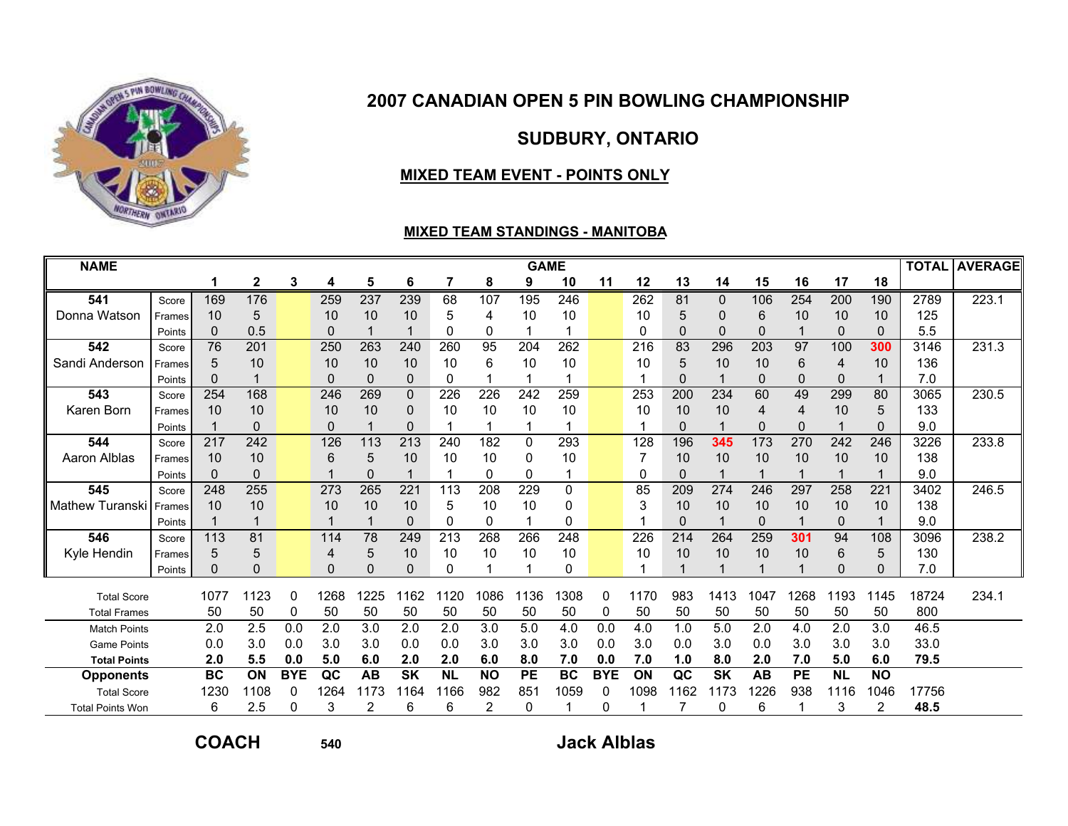

# SUDBURY, ONTARIO

#### MIXED TEAM EVENT - POINTS ONLY

#### MIXED TEAM STANDINGS - MANITOBA

| <b>NAME</b>             |        |           |              |            |                  |           |           |           |                | <b>GAME</b>      |           |            |          |          |           |      |                |             |                |       | <b>TOTAL AVERAGE</b> |
|-------------------------|--------|-----------|--------------|------------|------------------|-----------|-----------|-----------|----------------|------------------|-----------|------------|----------|----------|-----------|------|----------------|-------------|----------------|-------|----------------------|
|                         |        | 1         | $\mathbf{2}$ | 3          | 4                | 5         | 6         | 7         | 8              | 9                | 10        | 11         | 12       | 13       | 14        | 15   | 16             | 17          | 18             |       |                      |
| 541                     | Score  | 169       | 176          |            | 259              | 237       | 239       | 68        | 107            | 195              | 246       |            | 262      | 81       | 0         | 106  | 254            | 200         | 190            | 2789  | 223.1                |
| Donna Watson            | Frames | 10        | 5            |            | 10               | 10        | 10        | 5         | 4              | 10               | 10        |            | 10       | 5        | $\Omega$  | 6    | 10             | 10          | 10             | 125   |                      |
|                         | Points | 0         | 0.5          |            | 0                |           |           | 0         | 0              |                  |           |            | $\Omega$ | $\Omega$ | $\Omega$  | 0    |                | $\Omega$    | $\Omega$       | 5.5   |                      |
| 542                     | Score  | 76        | 201          |            | 250              | 263       | 240       | 260       | 95             | 204              | 262       |            | 216      | 83       | 296       | 203  | 97             | 100         | 300            | 3146  | 231.3                |
| Sandi Anderson          | Frames | 5         | 10           |            | 10               | 10        | 10        | 10        | 6              | 10               | 10        |            | 10       | 5        | 10        | 10   | 6              | 4           | 10             | 136   |                      |
|                         | Points | $\Omega$  |              |            | 0                | 0         | 0         | 0         |                |                  |           |            |          | $\Omega$ |           | 0    | $\Omega$       | $\mathbf 0$ |                | 7.0   |                      |
| 543                     | Score  | 254       | 168          |            | $\overline{246}$ | 269       | 0         | 226       | 226            | $\overline{242}$ | 259       |            | 253      | 200      | 234       | 60   | 49             | 299         | 80             | 3065  | 230.5                |
| Karen Born              | Frames | 10        | 10           |            | 10               | 10        | 0         | 10        | 10             | 10               | 10        |            | 10       | 10       | 10        | 4    | $\overline{4}$ | 10          | 5              | 133   |                      |
|                         | Points |           | 0            |            | 0                |           | 0         |           |                |                  |           |            |          | $\Omega$ |           | 0    | $\Omega$       |             | 0              | 9.0   |                      |
| 544                     | Score  | 217       | 242          |            | 126              | 113       | 213       | 240       | 182            | 0                | 293       |            | 128      | 196      | 345       | 173  | 270            | 242         | 246            | 3226  | 233.8                |
| Aaron Alblas            | Frames | 10        | 10           |            | 6                | 5         | 10        | 10        | 10             | 0                | 10        |            |          | 10       | 10        | 10   | 10             | 10          | 10             | 138   |                      |
|                         | Points | $\Omega$  | $\mathbf{0}$ |            |                  | 0         |           |           | 0              | 0                | 1         |            | 0        | $\Omega$ |           |      |                |             |                | 9.0   |                      |
| 545                     | Score  | 248       | 255          |            | 273              | 265       | 221       | 113       | 208            | 229              | 0         |            | 85       | 209      | 274       | 246  | 297            | 258         | 221            | 3402  | 246.5                |
| Mathew Turanski         | Frames | 10        | 10           |            | 10               | 10        | 10        | 5         | 10             | 10               | 0         |            | 3        | 10       | 10        | 10   | 10             | 10          | 10             | 138   |                      |
|                         | Points |           |              |            |                  |           | 0         | 0         | 0              |                  | 0         |            |          | $\Omega$ |           | 0    |                | $\Omega$    |                | 9.0   |                      |
| 546                     | Score  | 113       | 81           |            | 114              | 78        | 249       | 213       | 268            | 266              | 248       |            | 226      | 214      | 264       | 259  | 301            | 94          | 108            | 3096  | 238.2                |
| Kyle Hendin             | Frames | 5         | 5            |            | 4                | 5         | 10        | 10        | 10             | 10               | 10        |            | 10       | 10       | 10        | 10   | 10             | 6           | 5              | 130   |                      |
|                         | Points | $\Omega$  | $\Omega$     |            | 0                | 0         | 0         | 0         | 1              |                  | 0         |            |          |          |           |      |                | $\Omega$    | $\Omega$       | 7.0   |                      |
| <b>Total Score</b>      |        | 1077      | 1123         | $\Omega$   | 1268             | 1225      | 1162      | 1120      | 1086           | 136              | 308       | 0          | 1170     | 983      | 1413      | 1047 | 1268           | 1193        | 1145           | 18724 | 234.1                |
| <b>Total Frames</b>     |        | 50        | 50           | 0          | 50               | 50        | 50        | 50        | 50             | 50               | 50        | 0          | 50       | 50       | 50        | 50   | 50             | 50          | 50             | 800   |                      |
| <b>Match Points</b>     |        | 2.0       | 2.5          | 0.0        | 2.0              | 3.0       | 2.0       | 2.0       | 3.0            | 5.0              | 4.0       | 0.0        | 4.0      | 1.0      | 5.0       | 2.0  | 4.0            | 2.0         | 3.0            | 46.5  |                      |
| <b>Game Points</b>      |        | 0.0       | 3.0          | 0.0        | 3.0              | 3.0       | 0.0       | 0.0       | 3.0            | 3.0              | 3.0       | 0.0        | 3.0      | 0.0      | 3.0       | 0.0  | 3.0            | 3.0         | 3.0            | 33.0  |                      |
| <b>Total Points</b>     |        | 2.0       | 5.5          | 0.0        | 5.0              | 6.0       | 2.0       | 2.0       | 6.0            | 8.0              | 7.0       | 0.0        | 7.0      | 1.0      | 8.0       | 2.0  | 7.0            | 5.0         | 6.0            | 79.5  |                      |
| <b>Opponents</b>        |        | <b>BC</b> | ON           | <b>BYE</b> | QC               | <b>AB</b> | <b>SK</b> | <b>NL</b> | <b>NO</b>      | <b>PE</b>        | <b>BC</b> | <b>BYE</b> | ON       | QC       | <b>SK</b> | AB   | <b>PE</b>      | <b>NL</b>   | <b>NO</b>      |       |                      |
| <b>Total Score</b>      |        | 1230      | 1108         | 0          | 1264             | 1173      | 1164      | 1166      | 982            | 851              | 1059      |            | 1098     | 1162     | 1173      | 1226 | 938            | 1116        | 1046           | 17756 |                      |
| <b>Total Points Won</b> |        | 6         | 2.5          | $\Omega$   | 3                | 2         | 6         | 6         | $\overline{2}$ | 0                |           | $\Omega$   |          |          | 0         | 6    |                | 3           | $\overline{2}$ | 48.5  |                      |

COACH

$$
40
$$

### <sup>540</sup> Jack Alblas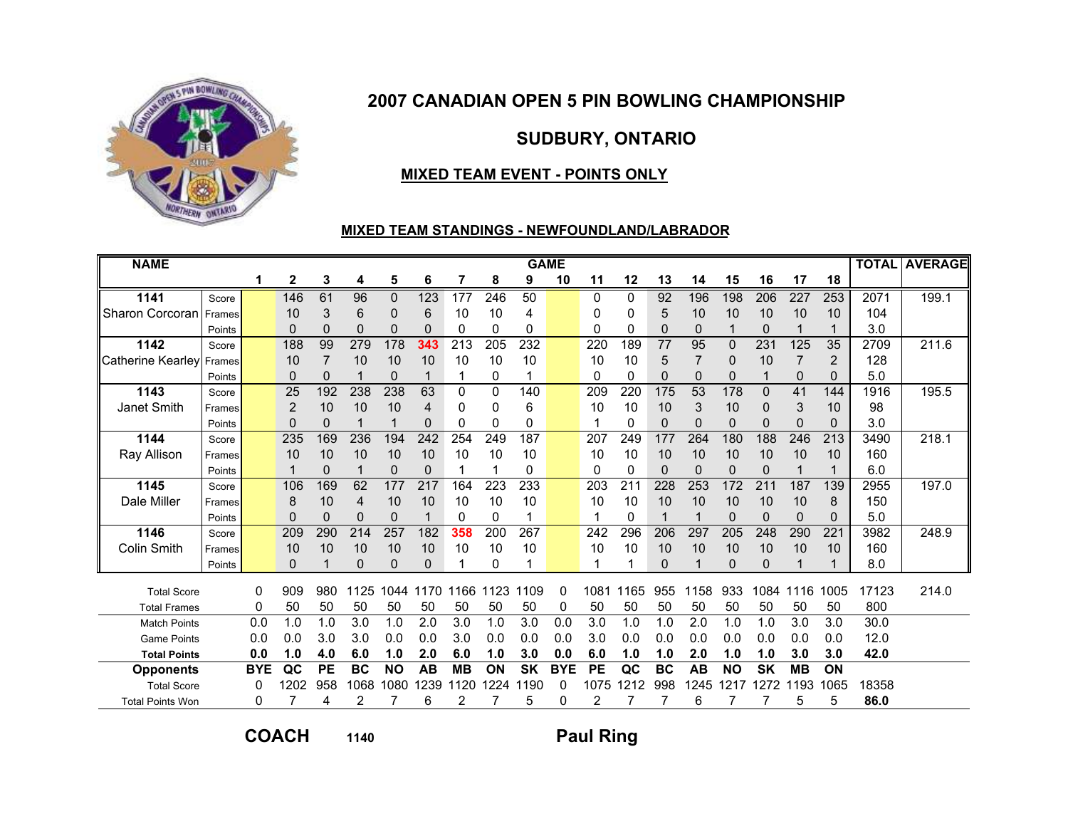

## SUDBURY, ONTARIO

### MIXED TEAM EVENT - POINTS ONLY

#### MIXED TEAM STANDINGS - NEWFOUNDLAND/LABRADOR

| <b>NAME</b>             |        |            |              |           |           |           |          |           |           | <b>GAME</b> |            |           |          |           |                 |           |           |                |                |       | <b>TOTAL AVERAGE</b> |
|-------------------------|--------|------------|--------------|-----------|-----------|-----------|----------|-----------|-----------|-------------|------------|-----------|----------|-----------|-----------------|-----------|-----------|----------------|----------------|-------|----------------------|
|                         |        |            | $\mathbf{2}$ | 3         | 4         | 5         | 6        | 7         | 8         | 9           | 10         | 11        | 12       | 13        | 14              | 15        | 16        | 17             | 18             |       |                      |
| 1141                    | Score  |            | 146          | 61        | 96        | 0         | 123      | 177       | 246       | 50          |            | 0         | 0        | 92        | 196             | 198       | 206       | 227            | 253            | 2071  | 199.1                |
| Sharon Corcoran         | Frames |            | 10           | 3         | 6         | 0         | 6        | 10        | 10        | 4           |            | 0         | 0        | 5         | 10              | 10        | 10        | 10             | 10             | 104   |                      |
|                         | Points |            | $\Omega$     | $\Omega$  | $\Omega$  | $\Omega$  | $\Omega$ | $\Omega$  | 0         | 0           |            | $\Omega$  | $\Omega$ | $\Omega$  | $\Omega$        | 1         | $\Omega$  | 1              |                | 3.0   |                      |
| 1142                    | Score  |            | 188          | 99        | 279       | 178       | 343      | 213       | 205       | 232         |            | 220       | 189      | 77        | 95              | $\Omega$  | 231       | 125            | 35             | 2709  | 211.6                |
| Catherine Kearley       | Frames |            | 10           | 7         | 10        | 10        | 10       | 10        | 10        | 10          |            | 10        | 10       | 5         | 7               | 0         | 10        | $\overline{7}$ | $\overline{2}$ | 128   |                      |
|                         | Points |            | $\Omega$     | $\Omega$  | 1         | $\Omega$  |          | 1         | 0         |             |            | 0         | 0        | $\Omega$  | $\Omega$        | 0         |           | 0              | 0              | 5.0   |                      |
| 1143                    | Score  |            | 25           | 192       | 238       | 238       | 63       | $\Omega$  | 0         | 140         |            | 209       | 220      | 175       | $\overline{53}$ | 178       | $\Omega$  | 41             | 144            | 1916  | 195.5                |
| Janet Smith             | Frames |            | 2            | 10        | 10        | 10        | 4        | 0         | 0         | 6           |            | 10        | 10       | 10        | 3               | 10        | 0         | 3              | 10             | 98    |                      |
|                         | Points |            | 0            | $\Omega$  | 1         |           | 0        | 0         | 0         | 0           |            |           | 0        | $\Omega$  | 0               | $\Omega$  | $\Omega$  | 0              | 0              | 3.0   |                      |
| 1144                    | Score  |            | 235          | 169       | 236       | 194       | 242      | 254       | 249       | 187         |            | 207       | 249      | 177       | 264             | 180       | 188       | 246            | 213            | 3490  | 218.1                |
| Ray Allison             | Frames |            | 10           | 10        | 10        | 10        | 10       | 10        | 10        | 10          |            | 10        | 10       | 10        | 10              | 10        | 10        | 10             | 10             | 160   |                      |
|                         | Points |            |              | $\Omega$  | 1         | $\Omega$  | $\Omega$ |           | 1         | 0           |            | $\Omega$  | 0        | $\Omega$  | $\Omega$        | $\Omega$  | $\Omega$  | 1              |                | 6.0   |                      |
| 1145                    | Score  |            | 106          | 169       | 62        | 177       | 217      | 164       | 223       | 233         |            | 203       | 211      | 228       | 253             | 172       | 211       | 187            | 139            | 2955  | 197.0                |
| Dale Miller             | Frames |            | 8            | 10        | 4         | 10        | 10       | 10        | 10        | 10          |            | 10        | 10       | 10        | 10              | 10        | 10        | 10             | 8              | 150   |                      |
|                         | Points |            | 0            | $\Omega$  | 0         | $\Omega$  |          | $\Omega$  | 0         |             |            |           | 0        | 1         |                 | $\Omega$  | $\Omega$  | 0              | 0              | 5.0   |                      |
| 1146                    | Score  |            | 209          | 290       | 214       | 257       | 182      | 358       | 200       | 267         |            | 242       | 296      | 206       | 297             | 205       | 248       | 290            | 221            | 3982  | 248.9                |
| <b>Colin Smith</b>      | Frames |            | 10           | 10        | 10        | 10        | 10       | 10        | 10        | 10          |            | 10        | 10       | 10        | 10              | 10        | 10        | 10             | 10             | 160   |                      |
|                         | Points |            | $\Omega$     |           | $\Omega$  | $\Omega$  | $\Omega$ |           | 0         |             |            |           |          | $\Omega$  |                 | $\Omega$  | $\Omega$  |                |                | 8.0   |                      |
| <b>Total Score</b>      |        | 0          | 909          | 980       | 1125      | 1044      | 1170     | 1166      | 123<br>-1 | 1109        | 0          | 1081      | 1165     | 955       | 1158            | 933       | 1084      | 116<br>1       | 1005           | 17123 | 214.0                |
| <b>Total Frames</b>     |        | 0          | 50           | 50        | 50        | 50        | 50       | 50        | 50        | 50          | 0          | 50        | 50       | 50        | 50              | 50        | 50        | 50             | 50             | 800   |                      |
| <b>Match Points</b>     |        | 0.0        | 1.0          | 1.0       | 3.0       | 1.0       | 2.0      | 3.0       | 1.0       | 3.0         | 0.0        | 3.0       | 1.0      | 1.0       | 2.0             | 1.0       | 1.0       | 3.0            | 3.0            | 30.0  |                      |
| <b>Game Points</b>      |        | 0.0        | 0.0          | 3.0       | 3.0       | 0.0       | 0.0      | 3.0       | 0.0       | 0.0         | 0.0        | 3.0       | 0.0      | 0.0       | 0.0             | 0.0       | 0.0       | 0.0            | 0.0            | 12.0  |                      |
| <b>Total Points</b>     |        | 0.0        | 1.0          | 4.0       | 6.0       | 1.0       | 2.0      | 6.0       | 1.0       | 3.0         | 0.0        | 6.0       | 1.0      | 1.0       | 2.0             | 1.0       | 1.0       | 3.0            | 3.0            | 42.0  |                      |
| <b>Opponents</b>        |        | <b>BYE</b> | $_{\alpha}$  | <b>PE</b> | <b>BC</b> | <b>NO</b> | AB       | <b>MB</b> | ON        | <b>SK</b>   | <b>BYE</b> | <b>PE</b> | QC       | <b>BC</b> | AB              | <b>NO</b> | <b>SK</b> | <b>MB</b>      | ON             |       |                      |
| <b>Total Score</b>      |        |            | 1202         | 958       | 1068      | 1080      | 1239     | 1120      | 1224      | 1190        | 0          | 1075      | 212      | 998       | 1245            | 1217      | 1272      | 193            | 1065           | 18358 |                      |
| <b>Total Points Won</b> |        | 0          |              | 4         | 2         |           | 6        | 2         | 7         | 5           | 0          | 2         |          | 7         | 6               |           |           | 5              | 5              | 86.0  |                      |

COACH

1140 **Paul Ring**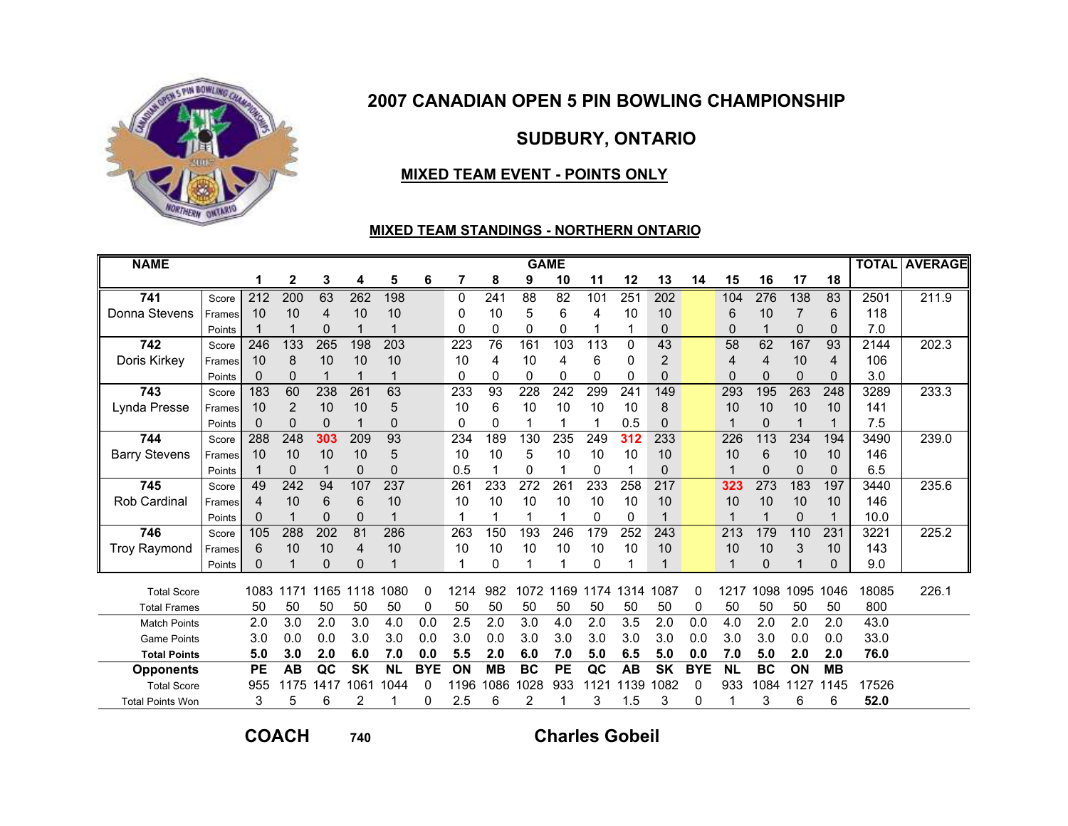

# SUDBURY, ONTARIO

### MIXED TEAM EVENT - POINTS ONLY

#### MIXED TEAM STANDINGS - NORTHERN ONTARIO

| <b>NAME</b>             |        |                  |              |             |           |           |            |      |           |           | <b>GAME</b> |          |           |                |            |           |             |      |           |       | <b>TOTAL AVERAGE</b> |
|-------------------------|--------|------------------|--------------|-------------|-----------|-----------|------------|------|-----------|-----------|-------------|----------|-----------|----------------|------------|-----------|-------------|------|-----------|-------|----------------------|
|                         |        | 1                | $\mathbf{2}$ | 3           | 4         | 5         | 6          | 7    | 8         | 9         | 10          | 11       | 12        | 13             | 14         | 15        | 16          | 17   | 18        |       |                      |
| 741                     | Score  | $\overline{212}$ | 200          | 63          | 262       | 198       |            | 0    | 241       | 88        | 82          | 101      | 251       | 202            |            | 104       | 276         | 138  | 83        | 2501  | 211.9                |
| Donna Stevens           | Frames | 10               | 10           | 4           | 10        | 10        |            | 0    | 10        | 5         | 6           | 4        | 10        | 10             |            | 6         | 10          | 7    | 6         | 118   |                      |
|                         | Points |                  |              | 0           | 1         |           |            | 0    | 0         | 0         | 0           |          |           | $\Omega$       |            | $\Omega$  | 1           | 0    | 0         | 7.0   |                      |
| 742                     | Score  | 246              | 133          | 265         | 198       | 203       |            | 223  | 76        | 161       | 103         | 113      | $\Omega$  | 43             |            | 58        | 62          | 167  | 93        | 2144  | 202.3                |
| Doris Kirkey            | Frames | 10               | 8            | 10          | 10        | 10        |            | 10   | 4         | 10        | 4           | 6        | 0         | $\overline{2}$ |            | 4         | 4           | 10   | 4         | 106   |                      |
|                         | Points | 0                | $\Omega$     | 1           | 1         |           |            | 0    | 0         | 0         | 0           | $\Omega$ | 0         | $\Omega$       |            | 0         | $\Omega$    | 0    | 0         | 3.0   |                      |
| 743                     | Score  | 183              | 60           | 238         | 261       | 63        |            | 233  | 93        | 228       | 242         | 299      | 241       | 149            |            | 293       | 195         | 263  | 248       | 3289  | 233.3                |
| Lynda Presse            | Frames | 10               | 2            | 10          | 10        | 5         |            | 10   | 6         | 10        | 10          | 10       | 10        | 8              |            | 10        | 10          | 10   | 10        | 141   |                      |
|                         | Points | 0                | 0            | $\mathbf 0$ | 1         | $\Omega$  |            | 0    | 0         |           |             |          | 0.5       | $\Omega$       |            |           | $\mathbf 0$ | 1    |           | 7.5   |                      |
| 744                     | Score  | 288              | 248          | 303         | 209       | 93        |            | 234  | 189       | 130       | 235         | 249      | 312       | 233            |            | 226       | 113         | 234  | 194       | 3490  | 239.0                |
| <b>Barry Stevens</b>    | Frames | 10               | 10           | 10          | 10        | 5         |            | 10   | 10        | 5         | 10          | 10       | 10        | 10             |            | 10        | 6           | 10   | 10        | 146   |                      |
|                         | Points |                  | 0            |             | $\Omega$  | 0         |            | 0.5  |           | 0         |             | 0        |           | $\Omega$       |            |           | 0           | 0    | 0         | 6.5   |                      |
| 745                     | Score  | 49               | 242          | 94          | 107       | 237       |            | 261  | 233       | 272       | 261         | 233      | 258       | 217            |            | 323       | 273         | 183  | 197       | 3440  | 235.6                |
| <b>Rob Cardinal</b>     | Frames | $\overline{4}$   | 10           | 6           | 6         | 10        |            | 10   | 10        | 10        | 10          | 10       | 10        | 10             |            | 10        | 10          | 10   | 10        | 146   |                      |
|                         | Points | 0                |              | 0           | 0         |           |            |      |           |           |             | 0        | $\Omega$  |                |            |           |             | 0    |           | 10.0  |                      |
| 746                     | Score  | 105              | 288          | 202         | 81        | 286       |            | 263  | 150       | 193       | 246         | 179      | 252       | 243            |            | 213       | 179         | 110  | 231       | 3221  | 225.2                |
| <b>Troy Raymond</b>     | Frames | 6                | 10           | 10          | 4         | 10        |            | 10   | 10        | 10        | 10          | 10       | 10        | 10             |            | 10        | 10          | 3    | 10        | 143   |                      |
|                         | Points | 0                |              | $\Omega$    | 0         |           |            |      | 0         |           |             | $\Omega$ |           |                |            |           | $\Omega$    | 1    | O         | 9.0   |                      |
| <b>Total Score</b>      |        | 1083             | 1171         | 1165        | 1118      | 1080      | 0          | 1214 | 982       | 1072      | 1169        | 1174     | 1314      | 1087           | 0          | 1217      | 1098        | 1095 | 1046      | 18085 | 226.1                |
| <b>Total Frames</b>     |        | 50               | 50           | 50          | 50        | 50        | 0          | 50   | 50        | 50        | 50          | 50       | 50        | 50             | 0          | 50        | 50          | 50   | 50        | 800   |                      |
| <b>Match Points</b>     |        | 2.0              | 3.0          | 2.0         | 3.0       | 4.0       | 0.0        | 2.5  | 2.0       | 3.0       | 4.0         | 2.0      | 3.5       | 2.0            | 0.0        | 4.0       | 2.0         | 2.0  | 2.0       | 43.0  |                      |
| <b>Game Points</b>      |        | 3.0              | 0.0          | 0.0         | 3.0       | 3.0       | 0.0        | 3.0  | 0.0       | 3.0       | 3.0         | 3.0      | 3.0       | 3.0            | 0.0        | 3.0       | 3.0         | 0.0  | 0.0       | 33.0  |                      |
| <b>Total Points</b>     |        | 5.0              | 3.0          | 2.0         | 6.0       | 7.0       | 0.0        | 5.5  | 2.0       | 6.0       | 7.0         | 5.0      | 6.5       | 5.0            | 0.0        | 7.0       | 5.0         | 2.0  | 2.0       | 76.0  |                      |
| <b>Opponents</b>        |        | <b>PE</b>        | <b>AB</b>    | QC          | <b>SK</b> | <b>NL</b> | <b>BYE</b> | ON   | <b>MB</b> | <b>BC</b> | <b>PE</b>   | QC       | <b>AB</b> | <b>SK</b>      | <b>BYE</b> | <b>NL</b> | <b>BC</b>   | ON   | <b>MB</b> |       |                      |
| <b>Total Score</b>      |        | 955              | 1175         | 1417        | 1061      | 1044      | 0          | 1196 | 1086      | 1028      | 933         | 1121     | 139       | 1082           | 0          | 933       | 1084        | 1127 | 1145      | 17526 |                      |
| <b>Total Points Won</b> |        | 3                | 5            | 6           | 2         |           | 0          | 2.5  | 6         | 2         |             | 3        | 1.5       | 3              | 0          |           | 3           | 6    | 6         | 52.0  |                      |

COACH

<sup>740</sup>

Charles Gobeil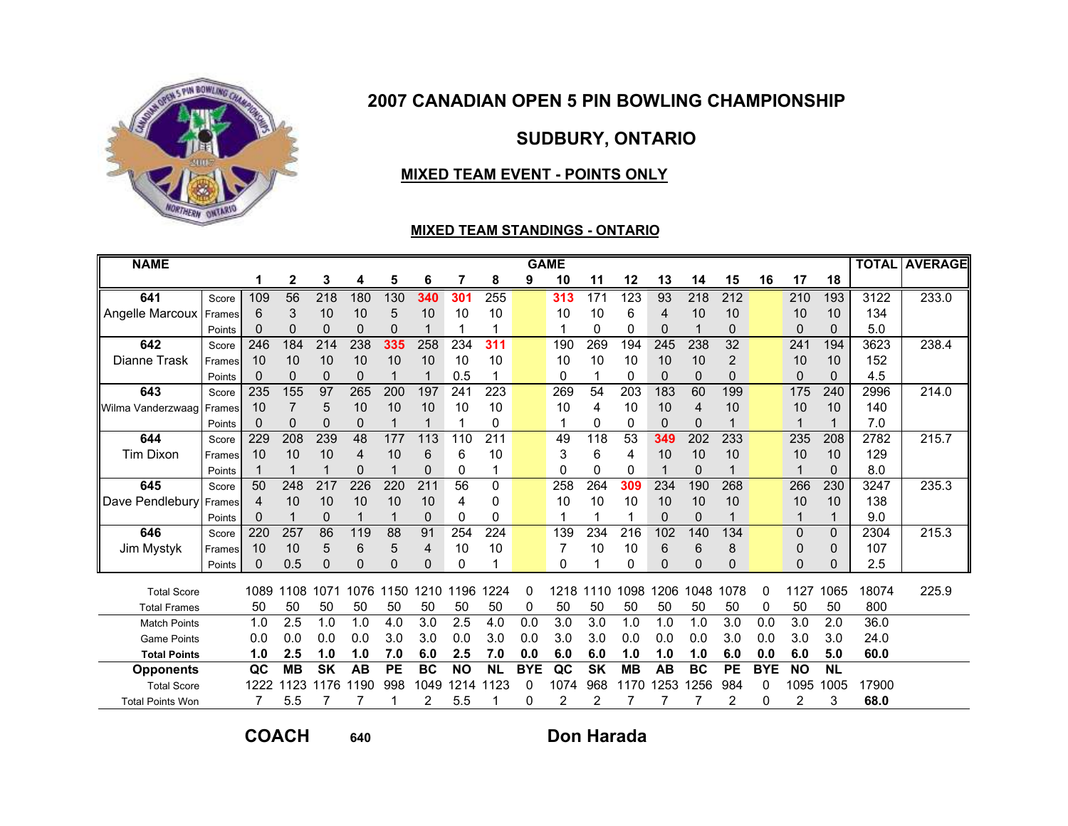

# SUDBURY, ONTARIO

### MIXED TEAM EVENT - POINTS ONLY

#### MIXED TEAM STANDINGS - ONTARIO

| <b>NAME</b>             |        |          |                 |                  |                |           |           |           |           |            | <b>GAME</b> |           |                  |           |           |                  |            |           |           |       | <b>TOTAL AVERAGE</b> |
|-------------------------|--------|----------|-----------------|------------------|----------------|-----------|-----------|-----------|-----------|------------|-------------|-----------|------------------|-----------|-----------|------------------|------------|-----------|-----------|-------|----------------------|
|                         |        |          | 2               | 3                | 4              | 5         | 6         |           | 8         | 9          | 10          | 11        | 12               | 13        | 14        | 15               | 16         | 17        | 18        |       |                      |
| 641                     | Score  | 109      | $\overline{56}$ | $\overline{218}$ | 180            | 130       | 340       | 301       | 255       |            | 313         | 171       | $\overline{123}$ | 93        | 218       | $\overline{212}$ |            | 210       | 193       | 3122  | 233.0                |
| Angelle Marcoux         | Frames | 6        | 3               | 10               | 10             | 5         | 10        | 10        | 10        |            | 10          | 10        | 6                | 4         | 10        | 10               |            | 10        | 10        | 134   |                      |
|                         | Points | 0        | $\Omega$        | $\mathbf{0}$     | $\overline{0}$ | 0         |           |           |           |            |             | 0         | 0                | 0         |           | $\Omega$         |            | 0         | 0         | 5.0   |                      |
| 642                     | Score  | 246      | 184             | 214              | 238            | 335       | 258       | 234       | 311       |            | 190         | 269       | 194              | 245       | 238       | 32               |            | 241       | 194       | 3623  | 238.4                |
| Dianne Trask            | Frames | 10       | 10              | 10               | 10             | 10        | 10        | 10        | 10        |            | 10          | 10        | 10               | 10        | 10        | $\overline{2}$   |            | 10        | 10        | 152   |                      |
|                         | Points | $\Omega$ | $\Omega$        | $\Omega$         | $\Omega$       | 1         | 1         | 0.5       | 1         |            | 0           |           | 0                | $\Omega$  | $\Omega$  | $\Omega$         |            | 0         | 0         | 4.5   |                      |
| 643                     | Score  | 235      | 155             | 97               | 265            | 200       | 197       | 241       | 223       |            | 269         | 54        | 203              | 183       | 60        | 199              |            | 175       | 240       | 2996  | 214.0                |
| Wilma Vanderzwaag       | Frames | 10       |                 | 5                | 10             | 10        | 10        | 10        | 10        |            | 10          | 4         | 10               | 10        | 4         | 10               |            | 10        | 10        | 140   |                      |
|                         | Points | 0        | 0               | 0                | 0              |           |           |           | 0         |            |             | 0         | 0                | 0         | 0         |                  |            |           |           | 7.0   |                      |
| 644                     | Score  | 229      | 208             | 239              | 48             | 177       | 113       | 110       | 211       |            | 49          | 118       | 53               | 349       | 202       | 233              |            | 235       | 208       | 2782  | 215.7                |
| <b>Tim Dixon</b>        | Frames | 10       | 10              | 10               | 4              | 10        | 6         | 6         | 10        |            | 3           | 6         | 4                | 10        | 10        | 10               |            | 10        | 10        | 129   |                      |
|                         | Points |          |                 |                  | 0              |           | 0         | 0         | 1         |            | $\Omega$    | 0         | 0                | 1         | $\Omega$  |                  |            | 1         | 0         | 8.0   |                      |
| 645                     | Score  | 50       | 248             | 217              | 226            | 220       | 211       | 56        | 0         |            | 258         | 264       | 309              | 234       | 190       | 268              |            | 266       | 230       | 3247  | 235.3                |
| Dave Pendlebury         | Frames | 4        | 10              | 10               | 10             | 10        | 10        | 4         | 0         |            | 10          | 10        | 10               | 10        | 10        | 10               |            | 10        | 10        | 138   |                      |
|                         | Points | 0        |                 | $\mathbf{0}$     |                |           | 0         | 0         | 0         |            |             |           |                  | $\Omega$  | 0         |                  |            |           |           | 9.0   |                      |
| 646                     | Score  | 220      | 257             | 86               | 119            | 88        | 91        | 254       | 224       |            | 139         | 234       | 216              | 102       | 140       | 134              |            | 0         | $\Omega$  | 2304  | 215.3                |
| Jim Mystyk              | Frames | 10       | 10              | 5                | 6              | 5         | 4         | 10        | 10        |            |             | 10        | 10               | 6         | 6         | 8                |            | 0         | 0         | 107   |                      |
|                         | Points | 0        | 0.5             | $\mathbf{0}$     | 0              | ი         | 0         | $\Omega$  | 1         |            | $\Omega$    |           | $\Omega$         | $\Omega$  | $\Omega$  | $\Omega$         |            | 0         | U         | 2.5   |                      |
| <b>Total Score</b>      |        | 1089     | 1108            | 1071             | 1076           | 150<br>1  | 1210      | 1196      | 224       | 0          | 1218        | 1110      | 1098             | 1206      | 1048      | 1078             | $\Omega$   | 127       | 1065      | 18074 | 225.9                |
| <b>Total Frames</b>     |        | 50       | 50              | 50               | 50             | 50        | 50        | 50        | 50        | 0          | 50          | 50        | 50               | 50        | 50        | 50               | 0          | 50        | 50        | 800   |                      |
| <b>Match Points</b>     |        | 1.0      | 2.5             | 1.0              | 1.0            | 4.0       | 3.0       | 2.5       | 4.0       | 0.0        | 3.0         | 3.0       | 1.0              | 1.0       | 1.0       | 3.0              | 0.0        | 3.0       | 2.0       | 36.0  |                      |
| <b>Game Points</b>      |        | 0.0      | 0.0             | 0.0              | 0.0            | 3.0       | 3.0       | 0.0       | 3.0       | 0.0        | 3.0         | 3.0       | 0.0              | 0.0       | 0.0       | 3.0              | 0.0        | 3.0       | 3.0       | 24.0  |                      |
| <b>Total Points</b>     |        | 1.0      | 2.5             | 1.0              | 1.0            | 7.0       | 6.0       | 2.5       | 7.0       | 0.0        | 6.0         | 6.0       | 1.0              | 1.0       | 1.0       | 6.0              | 0.0        | 6.0       | 5.0       | 60.0  |                      |
| <b>Opponents</b>        |        | QC       | <b>MB</b>       | <b>SK</b>        | <b>AB</b>      | <b>PE</b> | <b>BC</b> | <b>NO</b> | <b>NL</b> | <b>BYE</b> | QC          | <b>SK</b> | <b>MB</b>        | <b>AB</b> | <b>BC</b> | <b>PE</b>        | <b>BYE</b> | <b>NO</b> | <b>NL</b> |       |                      |
| <b>Total Score</b>      |        | 1222     | 1123            | 176              | 1190           | 998       | 1049      | 1214      | 123       | 0          | 1074        | 968       | 170              | 1253      | 1256      | 984              | 0          | 1095      | 1005      | 17900 |                      |
| <b>Total Points Won</b> |        |          | 5.5             |                  | 7              |           | 2         | 5.5       |           | 0          | 2           | 2         |                  |           |           | 2                | $\Omega$   | 2         | 3         | 68.0  |                      |

COACH

<sup>640</sup> Don Harada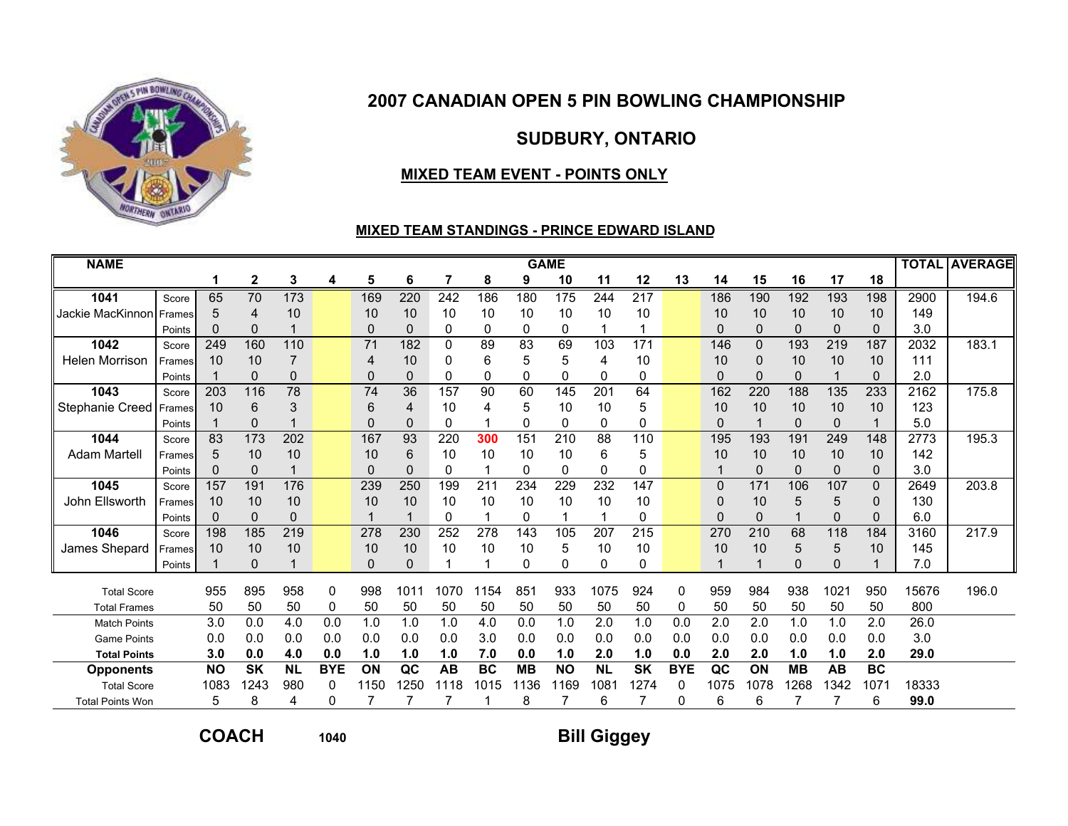

# SUDBURY, ONTARIO

### MIXED TEAM EVENT - POINTS ONLY

#### MIXED TEAM STANDINGS - PRINCE EDWARD ISLAND

| <b>NAME</b>             |        |                  |              |                |            |                 |                 |           |           |             | <b>GAME</b> |                  |              |            |              |          |              |             |              |       | <b>TOTAL AVERAGE</b> |
|-------------------------|--------|------------------|--------------|----------------|------------|-----------------|-----------------|-----------|-----------|-------------|-------------|------------------|--------------|------------|--------------|----------|--------------|-------------|--------------|-------|----------------------|
|                         |        | 1                | $\mathbf{2}$ | 3              | 4          | 5               | 6               | 7         | 8         | 9           | 10          | 11               | 12           | 13         | 14           | 15       | 16           | 17          | 18           |       |                      |
| 1041                    | Score  | 65               | 70           | 173            |            | 169             | 220             | 242       | 186       | 180         | 175         | 244              | 217          |            | 186          | 190      | 192          | 193         | 198          | 2900  | 194.6                |
| Jackie MacKinnon        | Frames | 5                | 4            | 10             |            | 10              | 10              | 10        | 10        | 10          | 10          | 10               | 10           |            | 10           | 10       | 10           | 10          | 10           | 149   |                      |
|                         | Points | 0                | $\Omega$     |                |            | $\Omega$        | $\Omega$        | $\Omega$  | 0         | $\mathbf 0$ | 0           |                  |              |            | $\Omega$     | $\Omega$ | $\mathbf 0$  | $\Omega$    | $\Omega$     | 3.0   |                      |
| 1042                    | Score  | 249              | 160          | 110            |            | 71              | 182             | 0         | 89        | 83          | 69          | 103              | 171          |            | 146          | $\Omega$ | 193          | 219         | 187          | 2032  | 183.1                |
| <b>Helen Morrison</b>   | Frames | 10               | 10           |                |            | $\overline{4}$  | 10              | 0         | 6         | 5           | 5           | 4                | 10           |            | 10           | 0        | 10           | 10          | 10           | 111   |                      |
|                         | Points |                  | $\Omega$     | $\overline{0}$ |            | 0               | 0               | 0         | 0         | 0           | 0           | 0                | $\mathbf{0}$ |            | $\Omega$     | $\Omega$ | $\Omega$     |             | $\mathbf{0}$ | 2.0   |                      |
| 1043                    | Score  | $\overline{203}$ | 116          | 78             |            | $\overline{74}$ | $\overline{36}$ | 157       | 90        | 60          | 145         | 201              | 64           |            | 162          | 220      | 188          | 135         | 233          | 2162  | 175.8                |
| Stephanie Creed         | Frames | 10               | 6            | 3              |            | 6               | 4               | 10        | 4         | 5           | 10          | 10               | 5            |            | 10           | 10       | 10           | 10          | 10           | 123   |                      |
|                         | Points |                  | $\Omega$     |                |            | 0               | 0               | 0         |           | 0           | 0           | 0                | 0            |            | $\mathbf{0}$ |          | $\Omega$     | $\Omega$    |              | 5.0   |                      |
| 1044                    | Score  | 83               | 173          | 202            |            | 167             | 93              | 220       | 300       | 151         | 210         | 88               | 110          |            | 195          | 193      | 191          | 249         | 148          | 2773  | 195.3                |
| <b>Adam Martell</b>     | Frames | 5                | 10           | 10             |            | 10              | 6               | 10        | 10        | 10          | 10          | 6                | 5            |            | 10           | 10       | 10           | 10          | 10           | 142   |                      |
|                         | Points |                  | $\Omega$     |                |            | $\Omega$        | 0               | 0         |           | 0           | 0           | 0                | 0            |            |              | $\Omega$ | $\Omega$     | $\mathbf 0$ | $\mathbf{0}$ | 3.0   |                      |
| 1045                    | Score  | 157              | 191          | 176            |            | 239             | 250             | 199       | 211       | 234         | 229         | 232              | 147          |            | $\Omega$     | 171      | 106          | 107         | $\Omega$     | 2649  | 203.8                |
| John Ellsworth          | Frames | 10               | 10           | 10             |            | 10              | 10              | 10        | 10        | 10          | 10          | 10               | 10           |            | $\Omega$     | 10       | 5            | 5           | 0            | 130   |                      |
|                         | Points |                  | 0            | $\Omega$       |            |                 |                 | 0         |           | 0           |             |                  | 0            |            | $\Omega$     | 0        |              | 0           | $\Omega$     | 6.0   |                      |
| 1046                    | Score  | 198              | 185          | 219            |            | 278             | 230             | 252       | 278       | 143         | 105         | 207              | 215          |            | 270          | 210      | 68           | 118         | 184          | 3160  | 217.9                |
| James Shepard           | Frames | 10               | 10           | 10             |            | 10              | 10              | 10        | 10        | 10          | 5           | 10               | 10           |            | 10           | 10       | 5            | 5           | 10           | 145   |                      |
|                         | Points |                  | $\Omega$     |                |            | $\Omega$        | 0               |           |           | 0           | 0           | $\Omega$         | 0            |            |              |          | <sup>0</sup> | $\Omega$    |              | 7.0   |                      |
| <b>Total Score</b>      |        | 955              | 895          | 958            | $\Omega$   | 998             | 1011            | 1070      | 1154      | 851         | 933         | 1075             | 924          | 0          | 959          | 984      | 938          | 1021        | 950          | 15676 | 196.0                |
| <b>Total Frames</b>     |        | 50               | 50           | 50             | 0          | 50              | 50              | 50        | 50        | 50          | 50          | 50               | 50           | 0          | 50           | 50       | 50           | 50          | 50           | 800   |                      |
| <b>Match Points</b>     |        | 3.0              | 0.0          | 4.0            | 0.0        | 1.0             | 1.0             | 1.0       | 4.0       | 0.0         | 1.0         | 2.0              | 1.0          | 0.0        | 2.0          | 2.0      | 1.0          | 1.0         | 2.0          | 26.0  |                      |
| <b>Game Points</b>      |        | 0.0              | 0.0          | 0.0            | 0.0        | 0.0             | 0.0             | 0.0       | 3.0       | 0.0         | 0.0         | 0.0              | 0.0          | 0.0        | 0.0          | 0.0      | 0.0          | 0.0         | 0.0          | 3.0   |                      |
| <b>Total Points</b>     |        | 3.0              | 0.0          | 4.0            | 0.0        | 1.0             | 1.0             | 1.0       | 7.0       | 0.0         | 1.0         | 2.0              | 1.0          | 0.0        | 2.0          | 2.0      | 1.0          | 1.0         | 2.0          | 29.0  |                      |
| <b>Opponents</b>        |        | <b>NO</b>        | <b>SK</b>    | <b>NL</b>      | <b>BYE</b> | ON              | QC              | <b>AB</b> | <b>BC</b> | <b>MB</b>   | <b>NO</b>   | <b>NL</b>        | <b>SK</b>    | <b>BYE</b> | QC           | ON       | <b>MB</b>    | <b>AB</b>   | <b>BC</b>    |       |                      |
| <b>Total Score</b>      |        | 1083             | 1243         | 980            | 0          | 1150            | 1250            | 1118      | 1015      | 1136        | 1169        | 108 <sup>-</sup> | 1274         | 0          | 1075         | 1078     | 1268         | 1342        | 1071         | 18333 |                      |
| <b>Total Points Won</b> |        | 5                | 8            | 4              | 0          |                 |                 |           |           | 8           |             | 6                |              | 0          | 6            | 6        |              |             | 6            | 99.0  |                      |

COACH

<sup>1040</sup>

# Bill Giggey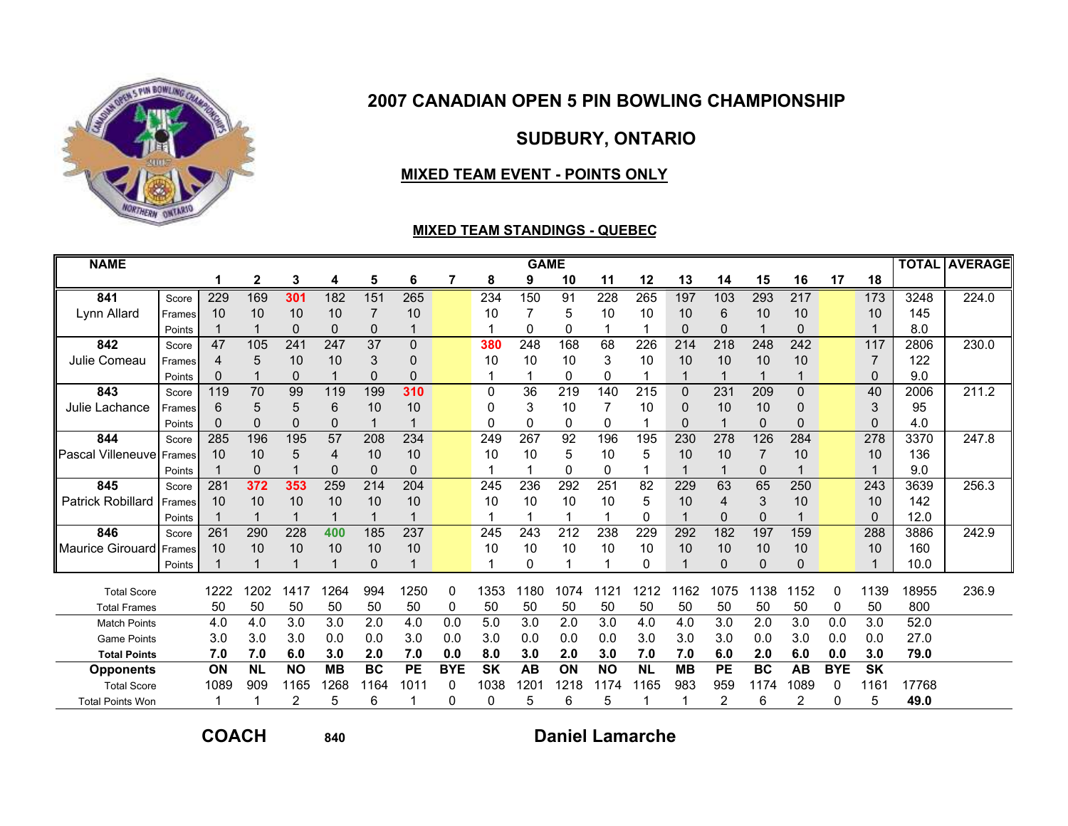

# SUDBURY, ONTARIO

### MIXED TEAM EVENT - POINTS ONLY

#### MIXED TEAM STANDINGS - QUEBEC

| <b>NAME</b>              |        |                |           |           |           |           |           |            |           | <b>GAME</b> |          |           |           |           |                |             |                |            |           |       | <b>TOTAL AVERAGE</b> |
|--------------------------|--------|----------------|-----------|-----------|-----------|-----------|-----------|------------|-----------|-------------|----------|-----------|-----------|-----------|----------------|-------------|----------------|------------|-----------|-------|----------------------|
|                          |        |                | 2         | 3         | 4         | 5         | 6         | 7          | 8         | 9           | 10       | 11        | 12        | 13        | 14             | 15          | 16             | 17         | 18        |       |                      |
| 841                      | Score  | 229            | 169       | 301       | 182       | 151       | 265       |            | 234       | 150         | 91       | 228       | 265       | 197       | 103            | 293         | 217            |            | 173       | 3248  | 224.0                |
| Lynn Allard              | Frames | 10             | 10        | 10        | 10        |           | 10        |            | 10        |             | 5        | 10        | 10        | 10        | 6              | 10          | 10             |            | 10        | 145   |                      |
|                          | Points |                |           | $\Omega$  | 0         | 0         |           |            |           | 0           | 0        |           |           | $\Omega$  | $\mathbf{0}$   |             | $\Omega$       |            |           | 8.0   |                      |
| 842                      | Score  | 47             | 105       | 241       | 247       | 37        | $\Omega$  |            | 380       | 248         | 168      | 68        | 226       | 214       | 218            | 248         | 242            |            | 117       | 2806  | 230.0                |
| Julie Comeau             | Frames | $\overline{4}$ | 5         | 10        | 10        | 3         | 0         |            | 10        | 10          | 10       | 3         | 10        | 10        | 10             | 10          | 10             |            | 7         | 122   |                      |
|                          | Points | 0              |           | 0         |           | 0         | $\Omega$  |            |           |             | 0        | $\Omega$  |           |           |                |             |                |            | $\Omega$  | 9.0   |                      |
| 843                      | Score  | 119            | 70        | 99        | 119       | 199       | 310       |            | 0         | 36          | 219      | 140       | 215       | $\Omega$  | 231            | 209         | $\overline{0}$ |            | 40        | 2006  | 211.2                |
| Julie Lachance           | Frames | 6              | 5         | 5         | 6         | 10        | 10        |            | ŋ         | 3           | 10       |           | 10        | O         | 10             | 10          | 0              |            | 3         | 95    |                      |
|                          | Points | 0              | $\Omega$  | 0         | 0         |           |           |            | 0         | 0           | 0        | 0         |           | n         |                | $\mathbf 0$ | 0              |            | $\Omega$  | 4.0   |                      |
| 844                      | Score  | 285            | 196       | 195       | 57        | 208       | 234       |            | 249       | 267         | 92       | 196       | 195       | 230       | 278            | 126         | 284            |            | 278       | 3370  | 247.8                |
| <b>Pascal Villeneuve</b> | Frames | 10             | 10        | 5         | 4         | 10        | 10        |            | 10        | 10          | 5        | 10        | 5         | 10        | 10             | 7           | 10             |            | 10        | 136   |                      |
|                          | Points |                | $\Omega$  |           | 0         | 0         | $\Omega$  |            |           |             | $\Omega$ | $\Omega$  |           |           |                | $\mathbf 0$ |                |            |           | 9.0   |                      |
| 845                      | Score  | 281            | 372       | 353       | 259       | 214       | 204       |            | 245       | 236         | 292      | 251       | 82        | 229       | 63             | 65          | 250            |            | 243       | 3639  | 256.3                |
| <b>Patrick Robillard</b> | Frames | 10             | 10        | 10        | 10        | 10        | 10        |            | 10        | 10          | 10       | 10        | 5         | 10        | $\overline{4}$ | 3           | 10             |            | 10        | 142   |                      |
|                          | Points |                |           |           |           |           |           |            |           |             |          |           | 0         |           | $\Omega$       | $\mathbf 0$ |                |            | $\Omega$  | 12.0  |                      |
| 846                      | Score  | 261            | 290       | 228       | 400       | 185       | 237       |            | 245       | 243         | 212      | 238       | 229       | 292       | 182            | 197         | 159            |            | 288       | 3886  | 242.9                |
| <b>Maurice Girouard</b>  | Frames | 10             | 10        | 10        | 10        | 10        | 10        |            | 10        | 10          | 10       | 10        | 10        | 10        | 10             | 10          | 10             |            | 10        | 160   |                      |
|                          | Points |                |           |           |           | 0         |           |            |           | O           |          |           | 0         |           | $\Omega$       | $\Omega$    | $\Omega$       |            |           | 10.0  |                      |
| <b>Total Score</b>       |        | 1222           | 1202      | 1417      | 1264      | 994       | 1250      | 0          | 1353      | 1180        | 1074     | 121       | 1212      | 162       | 1075           | 1138        | 152            | 0          | 1139      | 18955 | 236.9                |
| <b>Total Frames</b>      |        | 50             | 50        | 50        | 50        | 50        | 50        | 0          | 50        | 50          | 50       | 50        | 50        | 50        | 50             | 50          | 50             | 0          | 50        | 800   |                      |
| <b>Match Points</b>      |        | 4.0            | 4.0       | 3.0       | 3.0       | 2.0       | 4.0       | 0.0        | 5.0       | 3.0         | 2.0      | 3.0       | 4.0       | 4.0       | 3.0            | 2.0         | 3.0            | 0.0        | 3.0       | 52.0  |                      |
| <b>Game Points</b>       |        | 3.0            | 3.0       | 3.0       | 0.0       | 0.0       | 3.0       | 0.0        | 3.0       | 0.0         | 0.0      | 0.0       | 3.0       | 3.0       | 3.0            | 0.0         | 3.0            | 0.0        | 0.0       | 27.0  |                      |
| <b>Total Points</b>      |        | 7.0            | 7.0       | 6.0       | 3.0       | 2.0       | 7.0       | 0.0        | 8.0       | 3.0         | 2.0      | 3.0       | 7.0       | 7.0       | 6.0            | 2.0         | 6.0            | 0.0        | 3.0       | 79.0  |                      |
| <b>Opponents</b>         |        | ON             | <b>NL</b> | <b>NO</b> | <b>MB</b> | <b>BC</b> | <b>PE</b> | <b>BYE</b> | <b>SK</b> | <b>AB</b>   | ON       | <b>NO</b> | <b>NL</b> | <b>MB</b> | <b>PE</b>      | <b>BC</b>   | <b>AB</b>      | <b>BYE</b> | <b>SK</b> |       |                      |
| <b>Total Score</b>       |        | 1089           | 909       | 1165      | 1268      | 1164      | 1011      | 0          | 1038      | 1201        | 1218     | 1174      | 165       | 983       | 959            | 1174        | 1089           | O          | 116'      | 17768 |                      |
| <b>Total Points Won</b>  |        |                |           | 2         | 5         | 6         |           | 0          | 0         | 5           | 6        | 5         |           |           | 2              | 6           | 2              | 0          | 5         | 49.0  |                      |

COACH

<sup>840</sup>

Daniel Lamarche